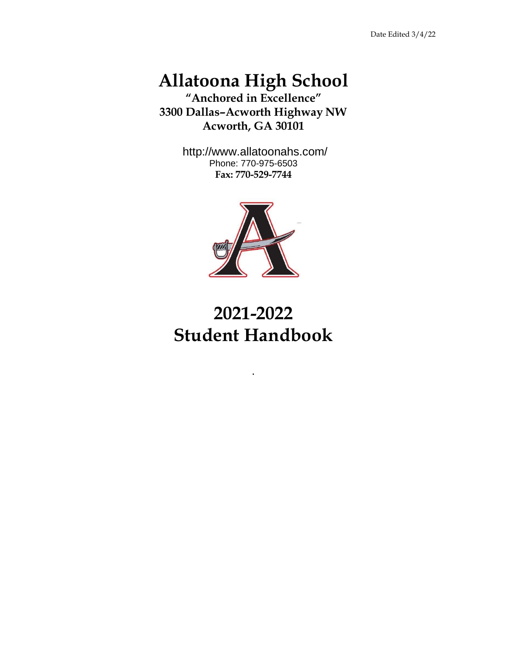# **Allatoona High School**

<span id="page-0-1"></span><span id="page-0-0"></span>**"Anchored in Excellence" 3300 Dallas–Acworth Highway NW Acworth, GA 30101**

> http://www.allatoonahs.com/ Phone: 770-975-6503 **Fax: 770-529-7744**



# **2021-2022 Student Handbook**

.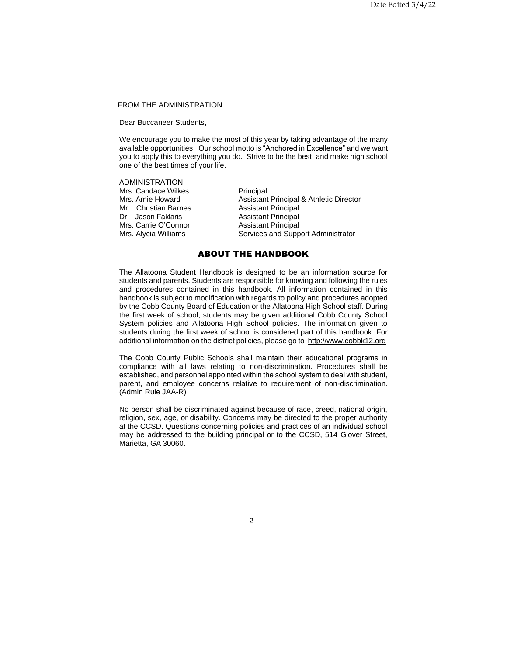# <span id="page-1-0"></span>FROM THE ADMINISTRATION

Dear Buccaneer Students,

We encourage you to make the most of this year by taking advantage of the many available opportunities. Our school motto is "Anchored in Excellence" and we want you to apply this to everything you do. Strive to be the best, and make high school one of the best times of your life.

<span id="page-1-1"></span>ADMINISTRATION Mrs. Candace Wilkes **Principal**<br>
Mrs. Amie Howard **Assistant** Assistant Principal & Athletic Director Mr. Christian Barnes **Assistant Principal** Dr. Jason Faklaris **Assistant Principal** Mrs. Carrie O'Connor **Assistant Principal** Mrs. Alycia Williams Services and Support Administrator

# ABOUT THE HANDBOOK

The Allatoona Student Handbook is designed to be an information source for students and parents. Students are responsible for knowing and following the rules and procedures contained in this handbook. All information contained in this handbook is subject to modification with regards to policy and procedures adopted by the Cobb County Board of Education or the Allatoona High School staff. During the first week of school, students may be given additional Cobb County School System policies and Allatoona High School policies. The information given to students during the first week of school is considered part of this handbook. For additional information on the district policies, please go to [http://www.cobbk12.org](http://www.cobbk12.org/)

The Cobb County Public Schools shall maintain their educational programs in compliance with all laws relating to non-discrimination. Procedures shall be established, and personnel appointed within the school system to deal with student, parent, and employee concerns relative to requirement of non-discrimination. (Admin Rule JAA-R)

No person shall be discriminated against because of race, creed, national origin, religion, sex, age, or disability. Concerns may be directed to the proper authority at the CCSD. Questions concerning policies and practices of an individual school may be addressed to the building principal or to the CCSD, 514 Glover Street, Marietta, GA 30060.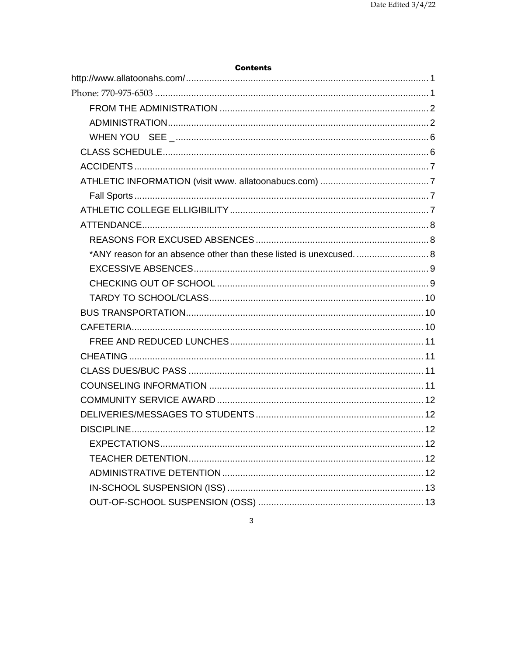| <b>Contents</b>    |    |
|--------------------|----|
|                    |    |
|                    |    |
|                    |    |
|                    |    |
|                    |    |
|                    |    |
|                    |    |
|                    |    |
|                    |    |
|                    |    |
|                    |    |
|                    |    |
|                    |    |
|                    |    |
|                    |    |
|                    |    |
|                    |    |
|                    |    |
|                    |    |
|                    |    |
|                    |    |
|                    |    |
|                    |    |
|                    |    |
| <b>DISCIPI INF</b> | 12 |
|                    |    |
|                    |    |
|                    |    |
|                    |    |
|                    |    |

 $\mathbf{3}$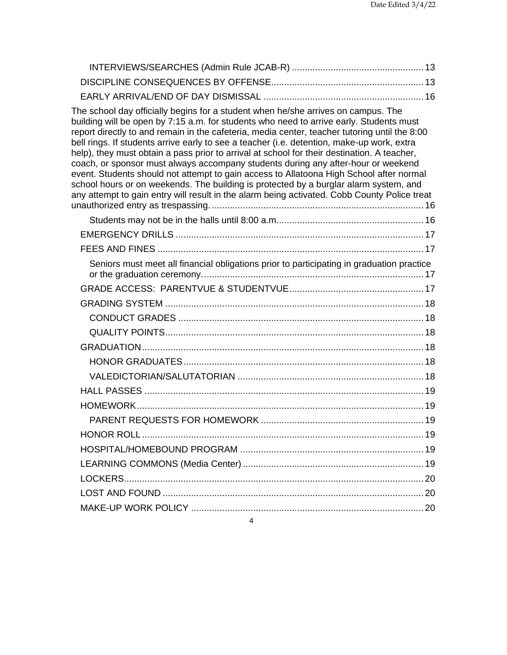| The school day officially begins for a student when he/she arrives on campus. The<br>building will be open by 7:15 a.m. for students who need to arrive early. Students must<br>report directly to and remain in the cafeteria, media center, teacher tutoring until the 8:00<br>bell rings. If students arrive early to see a teacher (i.e. detention, make-up work, extra<br>help), they must obtain a pass prior to arrival at school for their destination. A teacher,<br>coach, or sponsor must always accompany students during any after-hour or weekend<br>event. Students should not attempt to gain access to Allatoona High School after normal<br>school hours or on weekends. The building is protected by a burglar alarm system, and<br>any attempt to gain entry will result in the alarm being activated. Cobb County Police treat |  |
|-----------------------------------------------------------------------------------------------------------------------------------------------------------------------------------------------------------------------------------------------------------------------------------------------------------------------------------------------------------------------------------------------------------------------------------------------------------------------------------------------------------------------------------------------------------------------------------------------------------------------------------------------------------------------------------------------------------------------------------------------------------------------------------------------------------------------------------------------------|--|
|                                                                                                                                                                                                                                                                                                                                                                                                                                                                                                                                                                                                                                                                                                                                                                                                                                                     |  |
|                                                                                                                                                                                                                                                                                                                                                                                                                                                                                                                                                                                                                                                                                                                                                                                                                                                     |  |
|                                                                                                                                                                                                                                                                                                                                                                                                                                                                                                                                                                                                                                                                                                                                                                                                                                                     |  |
| Seniors must meet all financial obligations prior to participating in graduation practice                                                                                                                                                                                                                                                                                                                                                                                                                                                                                                                                                                                                                                                                                                                                                           |  |
|                                                                                                                                                                                                                                                                                                                                                                                                                                                                                                                                                                                                                                                                                                                                                                                                                                                     |  |
|                                                                                                                                                                                                                                                                                                                                                                                                                                                                                                                                                                                                                                                                                                                                                                                                                                                     |  |
|                                                                                                                                                                                                                                                                                                                                                                                                                                                                                                                                                                                                                                                                                                                                                                                                                                                     |  |
|                                                                                                                                                                                                                                                                                                                                                                                                                                                                                                                                                                                                                                                                                                                                                                                                                                                     |  |
|                                                                                                                                                                                                                                                                                                                                                                                                                                                                                                                                                                                                                                                                                                                                                                                                                                                     |  |
|                                                                                                                                                                                                                                                                                                                                                                                                                                                                                                                                                                                                                                                                                                                                                                                                                                                     |  |
|                                                                                                                                                                                                                                                                                                                                                                                                                                                                                                                                                                                                                                                                                                                                                                                                                                                     |  |
|                                                                                                                                                                                                                                                                                                                                                                                                                                                                                                                                                                                                                                                                                                                                                                                                                                                     |  |
|                                                                                                                                                                                                                                                                                                                                                                                                                                                                                                                                                                                                                                                                                                                                                                                                                                                     |  |
|                                                                                                                                                                                                                                                                                                                                                                                                                                                                                                                                                                                                                                                                                                                                                                                                                                                     |  |
|                                                                                                                                                                                                                                                                                                                                                                                                                                                                                                                                                                                                                                                                                                                                                                                                                                                     |  |
|                                                                                                                                                                                                                                                                                                                                                                                                                                                                                                                                                                                                                                                                                                                                                                                                                                                     |  |
|                                                                                                                                                                                                                                                                                                                                                                                                                                                                                                                                                                                                                                                                                                                                                                                                                                                     |  |
|                                                                                                                                                                                                                                                                                                                                                                                                                                                                                                                                                                                                                                                                                                                                                                                                                                                     |  |
|                                                                                                                                                                                                                                                                                                                                                                                                                                                                                                                                                                                                                                                                                                                                                                                                                                                     |  |
|                                                                                                                                                                                                                                                                                                                                                                                                                                                                                                                                                                                                                                                                                                                                                                                                                                                     |  |
| $\overline{4}$                                                                                                                                                                                                                                                                                                                                                                                                                                                                                                                                                                                                                                                                                                                                                                                                                                      |  |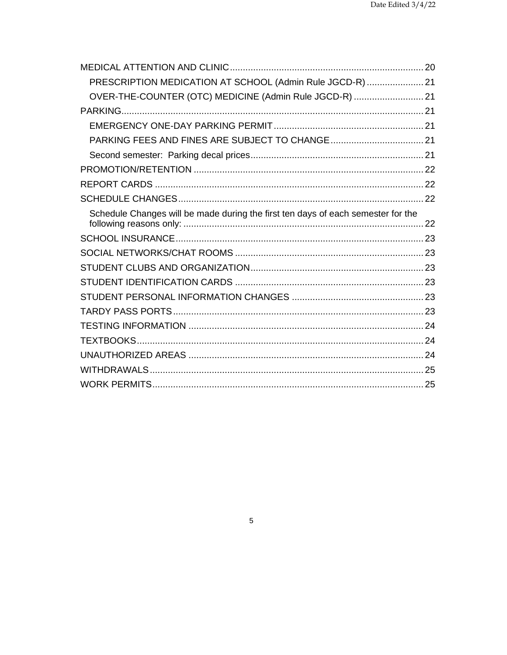| PRESCRIPTION MEDICATION AT SCHOOL (Admin Rule JGCD-R)  21                        |  |
|----------------------------------------------------------------------------------|--|
| OVER-THE-COUNTER (OTC) MEDICINE (Admin Rule JGCD-R)  21                          |  |
|                                                                                  |  |
|                                                                                  |  |
|                                                                                  |  |
|                                                                                  |  |
|                                                                                  |  |
|                                                                                  |  |
|                                                                                  |  |
| Schedule Changes will be made during the first ten days of each semester for the |  |
|                                                                                  |  |
|                                                                                  |  |
|                                                                                  |  |
|                                                                                  |  |
|                                                                                  |  |
|                                                                                  |  |
|                                                                                  |  |
|                                                                                  |  |
|                                                                                  |  |
|                                                                                  |  |
|                                                                                  |  |

# $\overline{5}$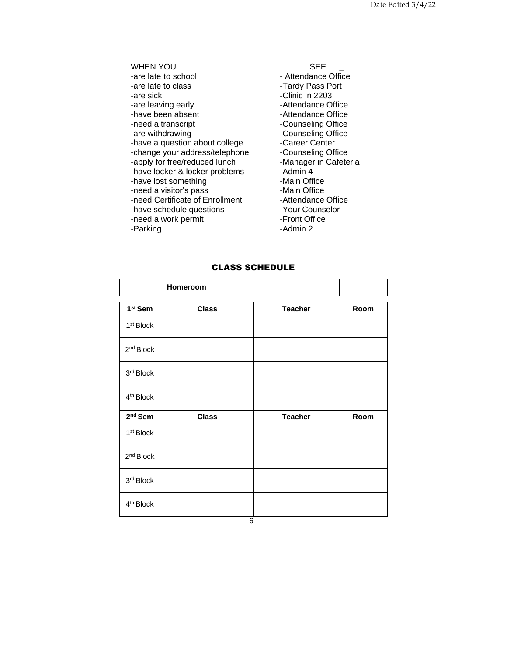<span id="page-5-0"></span>

| <b>WHEN YOU</b>                 | SEE                   |
|---------------------------------|-----------------------|
| -are late to school             | - Attendance Office   |
| -are late to class              | -Tardy Pass Port      |
| -are sick                       | -Clinic in 2203       |
| -are leaving early              | -Attendance Office    |
| -have been absent               | -Attendance Office    |
| -need a transcript              | -Counseling Office    |
| -are withdrawing                | -Counseling Office    |
| -have a question about college  | -Career Center        |
| -change your address/telephone  | -Counseling Office    |
| -apply for free/reduced lunch   | -Manager in Cafeteria |
| -have locker & locker problems  | -Admin 4              |
| -have lost something            | -Main Office          |
| -need a visitor's pass          | -Main Office          |
| -need Certificate of Enrollment | -Attendance Office    |
| -have schedule questions        | -Your Counselor       |
| -need a work permit             | -Front Office         |
| -Parking                        | -Admin 2              |

# CLASS SCHEDULE

<span id="page-5-1"></span>

|                       | Homeroom     |                |      |
|-----------------------|--------------|----------------|------|
| 1 <sup>st</sup> Sem   | <b>Class</b> | <b>Teacher</b> | Room |
| 1 <sup>st</sup> Block |              |                |      |
| 2 <sup>nd</sup> Block |              |                |      |
| 3rd Block             |              |                |      |
| 4 <sup>th</sup> Block |              |                |      |
|                       |              |                |      |
| $2nd$ Sem             | <b>Class</b> | <b>Teacher</b> | Room |
| 1 <sup>st</sup> Block |              |                |      |
| 2 <sup>nd</sup> Block |              |                |      |
| 3 <sup>rd</sup> Block |              |                |      |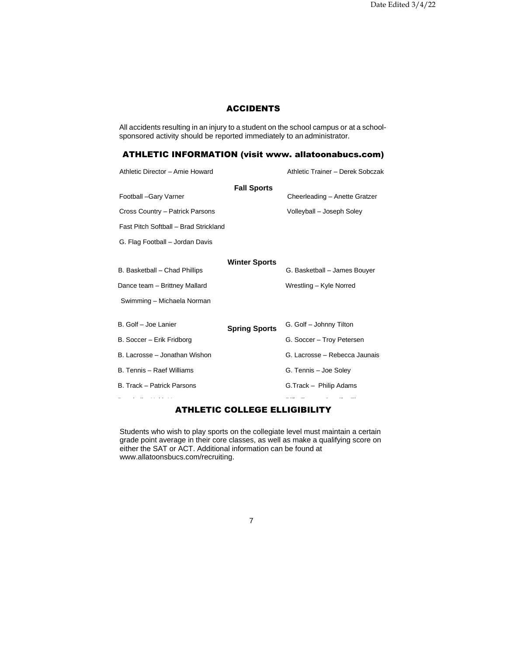# ACCIDENTS

<span id="page-6-0"></span>All accidents resulting in an injury to a student on the school campus or at a schoolsponsored activity should be reported immediately to an administrator.

# <span id="page-6-1"></span>ATHLETIC INFORMATION (visit www. allatoonabucs.com)

<span id="page-6-2"></span>

| Athletic Director - Amie Howard       |                      | Athletic Trainer - Derek Sobczak |
|---------------------------------------|----------------------|----------------------------------|
|                                       | <b>Fall Sports</b>   |                                  |
| Football -Gary Varner                 |                      | Cheerleading - Anette Gratzer    |
| Cross Country - Patrick Parsons       |                      | Volleyball - Joseph Soley        |
| Fast Pitch Softball - Brad Strickland |                      |                                  |
| G. Flag Football - Jordan Davis       |                      |                                  |
|                                       | <b>Winter Sports</b> |                                  |
| B. Basketball - Chad Phillips         |                      | G. Basketball - James Bouyer     |
| Dance team - Brittney Mallard         |                      | Wrestling - Kyle Norred          |
| Swimming - Michaela Norman            |                      |                                  |
|                                       |                      |                                  |
| B. Golf – Joe Lanier                  | <b>Spring Sports</b> | G. Golf - Johnny Tilton          |
| B. Soccer – Erik Fridborg             |                      | G. Soccer - Troy Petersen        |
| B. Lacrosse – Jonathan Wishon         |                      | G. Lacrosse - Rebecca Jaunais    |
| B. Tennis – Raef Williams             |                      | G. Tennis - Joe Soley            |
| B. Track – Patrick Parsons            |                      | G.Track - Philip Adams           |
|                                       |                      |                                  |

# ATHLETIC COLLEGE ELLIGIBILITY

<span id="page-6-3"></span>Students who wish to play sports on the collegiate level must maintain a certain grade point average in their core classes, as well as make a qualifying score on either the SAT or ACT. Additional information can be found at www.allatoonsbucs.com/recruiting.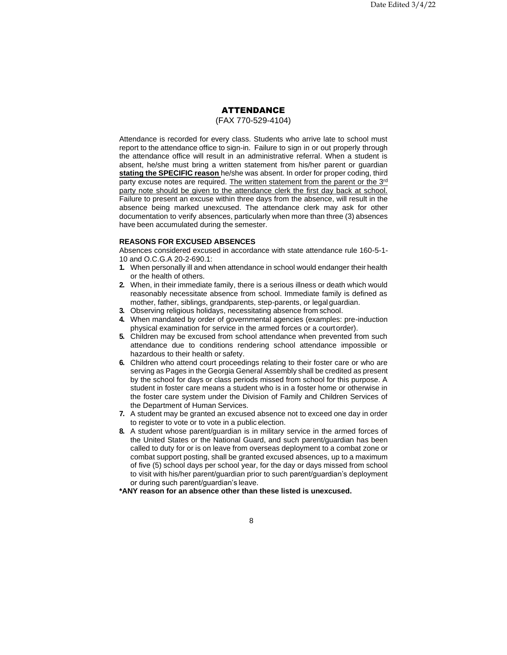#### ATTENDANCE

(FAX 770-529-4104)

<span id="page-7-0"></span>Attendance is recorded for every class. Students who arrive late to school must report to the attendance office to sign-in. Failure to sign in or out properly through the attendance office will result in an administrative referral. When a student is absent, he/she must bring a written statement from his/her parent or guardian **stating the SPECIFIC reason** he/she was absent. In order for proper coding, third party excuse notes are required. The written statement from the parent or the 3rd party note should be given to the attendance clerk the first day back at school. Failure to present an excuse within three days from the absence, will result in the absence being marked unexcused. The attendance clerk may ask for other documentation to verify absences, particularly when more than three (3) absences have been accumulated during the semester.

# <span id="page-7-1"></span>**REASONS FOR EXCUSED ABSENCES**

Absences considered excused in accordance with state attendance rule 160-5-1- 10 and O.C.G.A 20-2-690.1:

- **1.** When personally ill and when attendance in school would endanger their health or the health of others.
- **2.** When, in their immediate family, there is a serious illness or death which would reasonably necessitate absence from school. Immediate family is defined as mother, father, siblings, grandparents, step-parents, or legal guardian.
- **3.** Observing religious holidays, necessitating absence from school.
- **4.** When mandated by order of governmental agencies (examples: pre-induction physical examination for service in the armed forces or a courtorder).
- **5.** Children may be excused from school attendance when prevented from such attendance due to conditions rendering school attendance impossible or hazardous to their health or safety.
- **6.** Children who attend court proceedings relating to their foster care or who are serving as Pages in the Georgia General Assembly shall be credited as present by the school for days or class periods missed from school for this purpose. A student in foster care means a student who is in a foster home or otherwise in the foster care system under the Division of Family and Children Services of the Department of Human Services.
- **7.** A student may be granted an excused absence not to exceed one day in order to register to vote or to vote in a public election.
- **8.** A student whose parent/guardian is in military service in the armed forces of the United States or the National Guard, and such parent/guardian has been called to duty for or is on leave from overseas deployment to a combat zone or combat support posting, shall be granted excused absences, up to a maximum of five (5) school days per school year, for the day or days missed from school to visit with his/her parent/guardian prior to such parent/guardian's deployment or during such parent/guardian's leave.

<span id="page-7-2"></span>**\*ANY reason for an absence other than these listed is unexcused.**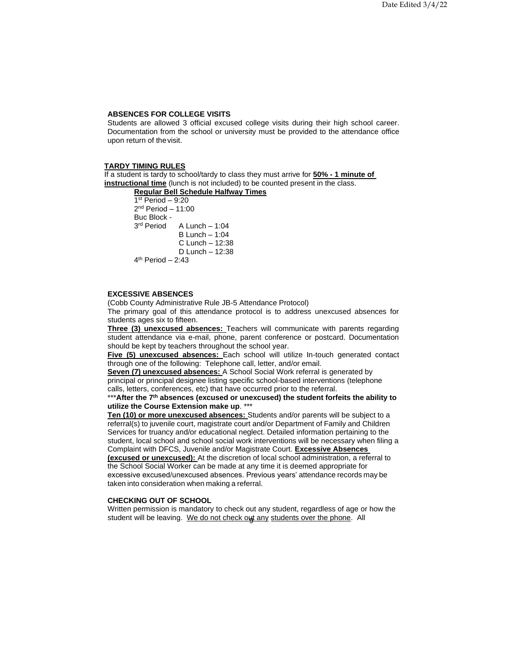# **ABSENCES FOR COLLEGE VISITS**

Students are allowed 3 official excused college visits during their high school career. Documentation from the school or university must be provided to the attendance office upon return of thevisit.

### **TARDY TIMING RULES**

If a student is tardy to school/tardy to class they must arrive for **50% - 1 minute of instructional time** (lunch is not included) to be counted present in the class.

**Regular Bell Schedule Halfway Times** 1 st Period – 9:20

2 nd Period – 11:00 Buc Block - 3<sup>rd</sup> Period A Lunch –  $1:04$  $B$  Lunch – 1:04 C Lunch – 12:38 D Lunch – 12:38 4 th Period – 2:43

### <span id="page-8-0"></span>**EXCESSIVE ABSENCES**

(Cobb County Administrative Rule JB-5 Attendance Protocol) The primary goal of this attendance protocol is to address unexcused absences for students ages six to fifteen.

**Three (3) unexcused absences:** Teachers will communicate with parents regarding student attendance via e-mail, phone, parent conference or postcard. Documentation should be kept by teachers throughout the school year.

**Five (5) unexcused absences:** Each school will utilize In-touch generated contact through one of the following: Telephone call, letter, and/or email.

**Seven (7) unexcused absences:** A School Social Work referral is generated by principal or principal designee listing specific school-based interventions (telephone calls, letters, conferences, etc) that have occurred prior to the referral.

#### \*\*\***After the 7th absences (excused or unexcused) the student forfeits the ability to utilize the Course Extension make up**. \*\*\*

**Ten (10) or more unexcused absences:** Students and/or parents will be subject to a referral(s) to juvenile court, magistrate court and/or Department of Family and Children Services for truancy and/or educational neglect. Detailed information pertaining to the student, local school and school social work interventions will be necessary when filing a Complaint with DFCS, Juvenile and/or Magistrate Court. **Excessive Absences (excused or unexcused):** At the discretion of local school administration, a referral to the School Social Worker can be made at any time it is deemed appropriate for excessive excused/unexcused absences. Previous years' attendance records may be taken into consideration when making a referral.

## <span id="page-8-1"></span>**CHECKING OUT OF SCHOOL**

student will be leaving. We do not check out any students over the phone. All Written permission is mandatory to check out any student, regardless of age or how the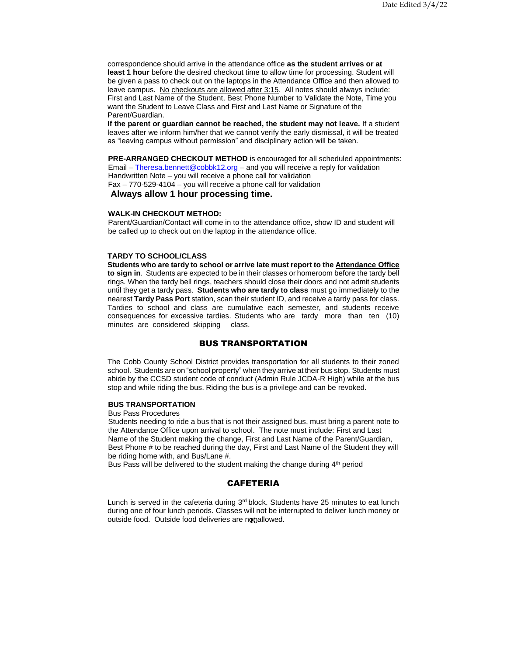correspondence should arrive in the attendance office **as the student arrives or at least 1 hour** before the desired checkout time to allow time for processing. Student will be given a pass to check out on the laptops in the Attendance Office and then allowed to leave campus. No checkouts are allowed after 3:15. All notes should always include: First and Last Name of the Student, Best Phone Number to Validate the Note, Time you want the Student to Leave Class and First and Last Name or Signature of the Parent/Guardian.

**If the parent or guardian cannot be reached, the student may not leave.** If a student leaves after we inform him/her that we cannot verify the early dismissal, it will be treated as "leaving campus without permission" and disciplinary action will be taken.

**PRE-ARRANGED CHECKOUT METHOD** is encouraged for all scheduled appointments: Email – [Theresa.bennett@cobbk12.org](mailto:Theresa.bennett@cobbk12.org) – and you will receive a reply for validation Handwritten Note – you will receive a phone call for validation Fax – 770-529-4104 – you will receive a phone call for validation

**Always allow 1 hour processing time.**

# **WALK-IN CHECKOUT METHOD:**

Parent/Guardian/Contact will come in to the attendance office, show ID and student will be called up to check out on the laptop in the attendance office.

## <span id="page-9-0"></span>**TARDY TO SCHOOL/CLASS**

**Students who are tardy to school or arrive late must report to the Attendance Office to sign in**. Students are expected to be in their classes or homeroom before the tardy bell rings. When the tardy bell rings, teachers should close their doors and not admit students until they get a tardy pass. **Students who are tardy to class** must go immediately to the nearest **Tardy Pass Port** station, scan their student ID, and receive a tardy pass for class. Tardies to school and class are cumulative each semester, and students receive consequences for excessive tardies. Students who are tardy more than ten (10) minutes are considered skipping class.

# BUS TRANSPORTATION

<span id="page-9-1"></span>The Cobb County School District provides transportation for all students to their zoned school. Students are on "school property" when they arrive at their bus stop. Students must abide by the CCSD student code of conduct (Admin Rule JCDA-R High) while at the bus stop and while riding the bus. Riding the bus is a privilege and can be revoked.

# **BUS TRANSPORTATION**

Bus Pass Procedures

Students needing to ride a bus that is not their assigned bus, must bring a parent note to the Attendance Office upon arrival to school. The note must include: First and Last Name of the Student making the change, First and Last Name of the Parent/Guardian, Best Phone # to be reached during the day, First and Last Name of the Student they will be riding home with, and Bus/Lane #.

Bus Pass will be delivered to the student making the change during 4<sup>th</sup> period

# CAFETERIA

<span id="page-9-2"></span>outside food. Outside food deliveries are not allowed. Lunch is served in the cafeteria during  $3<sup>rd</sup>$  block. Students have 25 minutes to eat lunch during one of four lunch periods. Classes will not be interrupted to deliver lunch money or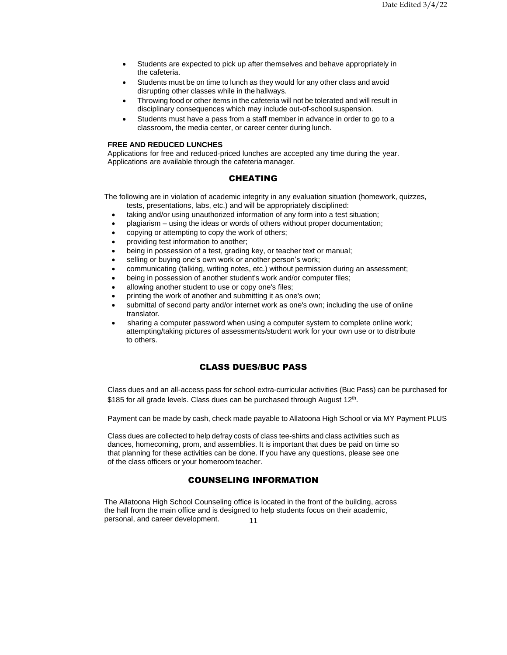- Students are expected to pick up after themselves and behave appropriately in the cafeteria.
- Students must be on time to lunch as they would for any other class and avoid disrupting other classes while in the hallways.
- Throwing food or other items in the cafeteria will not be tolerated and will result in disciplinary consequences which may include out-of-school suspension.
- Students must have a pass from a staff member in advance in order to go to a classroom, the media center, or career center during lunch.

#### <span id="page-10-0"></span>**FREE AND REDUCED LUNCHES**

<span id="page-10-1"></span>Applications for free and reduced-priced lunches are accepted any time during the year. Applications are available through the cafeteriamanager.

# CHEATING

The following are in violation of academic integrity in any evaluation situation (homework, quizzes, tests, presentations, labs, etc.) and will be appropriately disciplined:

- taking and/or using unauthorized information of any form into a test situation;
- plagiarism using the ideas or words of others without proper documentation;
- copying or attempting to copy the work of others;
- providing test information to another;
- being in possession of a test, grading key, or teacher text or manual;
- selling or buying one's own work or another person's work;
- communicating (talking, writing notes, etc.) without permission during an assessment;
- being in possession of another student's work and/or computer files;
- allowing another student to use or copy one's files;
- printing the work of another and submitting it as one's own;
- submittal of second party and/or internet work as one's own; including the use of online translator.
- sharing a computer password when using a computer system to complete online work; attempting/taking pictures of assessments/student work for your own use or to distribute to others.

# CLASS DUES/BUC PASS

<span id="page-10-2"></span>Class dues and an all-access pass for school extra-curricular activities (Buc Pass) can be purchased for \$185 for all grade levels. Class dues can be purchased through August 12<sup>th</sup>.

Payment can be made by cash, check made payable to Allatoona High School or via MY Payment PLUS

Class dues are collected to help defray costs of class tee-shirts and class activities such as dances, homecoming, prom, and assemblies. It is important that dues be paid on time so that planning for these activities can be done. If you have any questions, please see one of the class officers or your homeroom teacher.

# COUNSELING INFORMATION

<span id="page-10-3"></span>11 The Allatoona High School Counseling office is located in the front of the building, across the hall from the main office and is designed to help students focus on their academic, personal, and career development.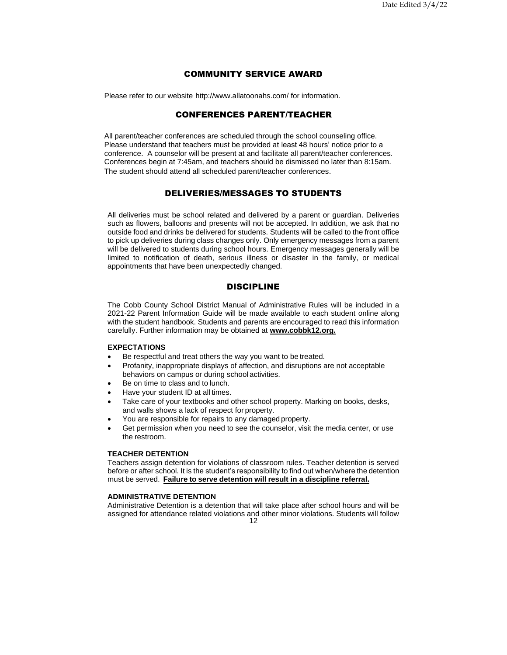# COMMUNITY SERVICE AWARD

<span id="page-11-0"></span>Please refer to our website http://www.allatoonahs.com/ for information.

# CONFERENCES PARENT/TEACHER

All parent/teacher conferences are scheduled through the school counseling office. Please understand that teachers must be provided at least 48 hours' notice prior to a conference. A counselor will be present at and facilitate all parent/teacher conferences. Conferences begin at 7:45am, and teachers should be dismissed no later than 8:15am. The student should attend all scheduled parent/teacher conferences.

# DELIVERIES/MESSAGES TO STUDENTS

<span id="page-11-1"></span>All deliveries must be school related and delivered by a parent or guardian. Deliveries such as flowers, balloons and presents will not be accepted. In addition, we ask that no outside food and drinks be delivered for students. Students will be called to the front office to pick up deliveries during class changes only. Only emergency messages from a parent will be delivered to students during school hours. Emergency messages generally will be limited to notification of death, serious illness or disaster in the family, or medical appointments that have been unexpectedly changed.

# DISCIPLINE

<span id="page-11-2"></span>The Cobb County School District Manual of Administrative Rules will be included in a 2021-22 Parent Information Guide will be made available to each student online along with the student handbook. Students and parents are encouraged to read this information carefully. Further information may be obtained at **[www.cobbk12.org.](http://www.cobbk12.org/)**

#### <span id="page-11-3"></span>**EXPECTATIONS**

- Be respectful and treat others the way you want to be treated.
- Profanity, inappropriate displays of affection, and disruptions are not acceptable behaviors on campus or during school activities.
- Be on time to class and to lunch.
- Have your student ID at all times.
- Take care of your textbooks and other school property. Marking on books, desks, and walls shows a lack of respect for property.
- You are responsible for repairs to any damaged property.
- Get permission when you need to see the counselor, visit the media center, or use the restroom.

# <span id="page-11-4"></span>**TEACHER DETENTION**

Teachers assign detention for violations of classroom rules. Teacher detention is served before or after school. It is the student's responsibility to find out when/where the detention must be served. **Failure to serve detention will result in a discipline referral.**

## <span id="page-11-5"></span>**ADMINISTRATIVE DETENTION**

Administrative Detention is a detention that will take place after school hours and will be assigned for attendance related violations and other minor violations. Students will follow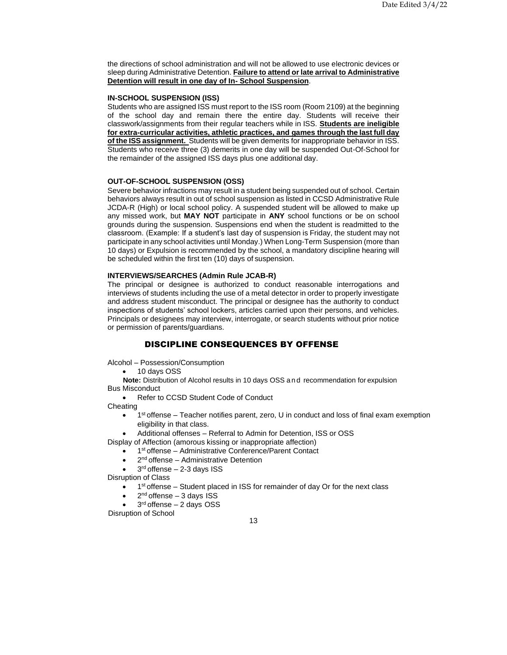the directions of school administration and will not be allowed to use electronic devices or sleep during Administrative Detention. **Failure to attend or late arrival to Administrative Detention will result in one day of In- School Suspension**.

## <span id="page-12-0"></span>**IN-SCHOOL SUSPENSION (ISS)**

Students who are assigned ISS must report to the ISS room (Room 2109) at the beginning of the school day and remain there the entire day. Students will receive their classwork/assignments from their regular teachers while in ISS. **Students are ineligible for extra-curricular activities, athletic practices, and games through the last full day of the ISS assignment.** Students will be given demerits for inappropriate behavior in ISS. Students who receive three (3) demerits in one day will be suspended Out-Of-School for the remainder of the assigned ISS days plus one additional day.

## <span id="page-12-1"></span>**OUT-OF-SCHOOL SUSPENSION (OSS)**

Severe behavior infractions may result in a student being suspended out of school. Certain behaviors always result in out of school suspension as listed in CCSD Administrative Rule JCDA-R (High) or local school policy. A suspended student will be allowed to make up any missed work, but **MAY NOT** participate in **ANY** school functions or be on school grounds during the suspension. Suspensions end when the student is readmitted to the classroom. (Example: If a student's last day of suspension is Friday, the student may not participate in any school activities until Monday.) When Long-Term Suspension (more than 10 days) or Expulsion is recommended by the school, a mandatory discipline hearing will be scheduled within the first ten (10) days of suspension.

#### <span id="page-12-2"></span>**INTERVIEWS/SEARCHES (Admin Rule JCAB-R)**

The principal or designee is authorized to conduct reasonable interrogations and interviews of students including the use of a metal detector in order to properly investigate and address student misconduct. The principal or designee has the authority to conduct inspections of students' school lockers, articles carried upon their persons, and vehicles. Principals or designees may interview, interrogate, or search students without prior notice or permission of parents/guardians.

## DISCIPLINE CONSEQUENCES BY OFFENSE

<span id="page-12-3"></span>Alcohol – Possession/Consumption

• 10 days OSS

**Note:** Distribution of Alcohol results in 10 days OSS and recommendation for expulsion Bus Misconduct

• Refer to CCSD Student Code of Conduct

**Cheating** 

- $\bullet$  1<sup>st</sup> offense Teacher notifies parent, zero, U in conduct and loss of final exam exemption eligibility in that class.
- Additional offenses Referral to Admin for Detention, ISS or OSS

Display of Affection (amorous kissing or inappropriate affection)

- 1<sup>st</sup> offense Administrative Conference/Parent Contact
- 2<sup>nd</sup> offense Administrative Detention
- $\bullet$  3<sup>rd</sup> offense 2-3 days ISS

Disruption of Class

- 1<sup>st</sup> offense Student placed in ISS for remainder of day Or for the next class
- $\bullet$  2<sup>nd</sup> offense 3 days ISS

 $\bullet$  3<sup>rd</sup> offense - 2 days OSS

Disruption of School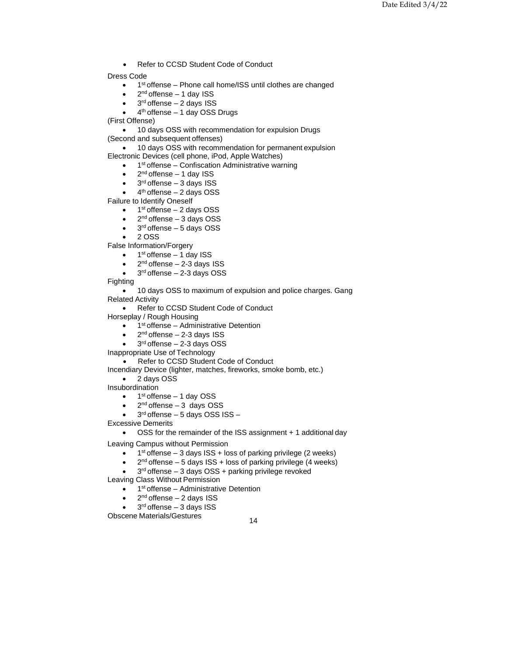• Refer to CCSD Student Code of Conduct

Dress Code

- 1<sup>st</sup> offense Phone call home/ISS until clothes are changed
- $\bullet$  2<sup>nd</sup> offense 1 day ISS
- $\bullet$  3<sup>rd</sup> offense 2 days ISS
- $\bullet$  4<sup>th</sup> offense 1 day OSS Drugs

(First Offense)

• 10 days OSS with recommendation for expulsion Drugs

(Second and subsequent offenses)

• 10 days OSS with recommendation for permanent expulsion

- Electronic Devices (cell phone, iPod, Apple Watches)
	- 1<sup>st</sup> offense Confiscation Administrative warning
	- $\bullet$  2<sup>nd</sup> offense 1 day ISS
	- 3<sup>rd</sup> offense 3 days ISS
	- $\bullet$  4<sup>th</sup> offense  $-$  2 days OSS

Failure to Identify Oneself

- $\bullet$  1<sup>st</sup> offense 2 days OSS
- $\bullet$  2<sup>nd</sup> offense 3 days OSS
- 3<sup>rd</sup> offense 5 days OSS
- 2 OSS

False Information/Forgery

- $\bullet$  1<sup>st</sup> offense 1 day ISS
- $\bullet$  2<sup>nd</sup> offense 2-3 days ISS
- $\bullet$  3<sup>rd</sup> offense 2-3 days OSS

Fighting

• 10 days OSS to maximum of expulsion and police charges. Gang Related Activity

• Refer to CCSD Student Code of Conduct

Horseplay / Rough Housing

- 1<sup>st</sup> offense Administrative Detention
- $\bullet$  2<sup>nd</sup> offense 2-3 days ISS
- $\bullet$  3<sup>rd</sup> offense 2-3 days OSS
- Inappropriate Use of Technology

• Refer to CCSD Student Code of Conduct

Incendiary Device (lighter, matches, fireworks, smoke bomb, etc.)

- 2 days OSS
- Insubordination
	- $\bullet$  1<sup>st</sup> offense 1 day OSS
	- $\bullet$  2<sup>nd</sup> offense 3 days OSS
	- $\bullet$  3<sup>rd</sup> offense  $-5$  days OSS ISS  $-$

Excessive Demerits

• OSS for the remainder of the ISS assignment + 1 additional day

Leaving Campus without Permission

- $\bullet$  1<sup>st</sup> offense 3 days ISS + loss of parking privilege (2 weeks)
- $\bullet$  2<sup>nd</sup> offense 5 days ISS + loss of parking privilege (4 weeks)
- $\bullet$  3<sup>rd</sup> offense 3 days OSS + parking privilege revoked

Leaving Class Without Permission

- 1<sup>st</sup> offense Administrative Detention
- $\bullet$  2<sup>nd</sup> offense 2 days ISS
- $\bullet$  3<sup>rd</sup> offense 3 days ISS

Obscene Materials/Gestures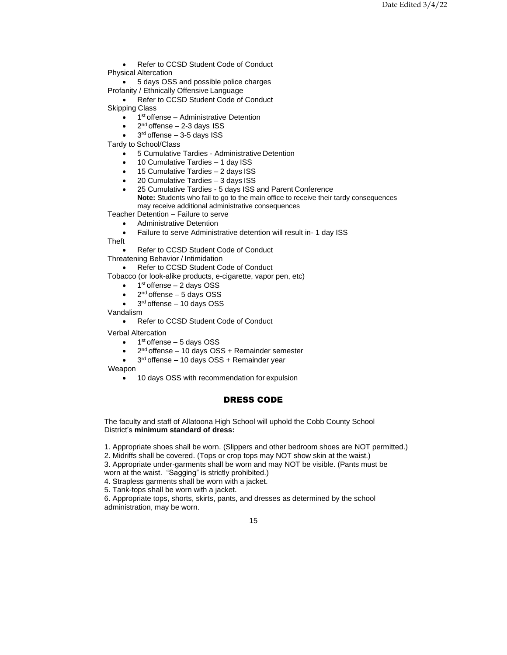Refer to CCSD Student Code of Conduct Physical Altercation

• 5 days OSS and possible police charges Profanity / Ethnically Offensive Language

Refer to CCSD Student Code of Conduct Skipping Class

• 1<sup>st</sup> offense - Administrative Detention

- $\bullet$  2<sup>nd</sup> offense 2-3 days ISS
- $\bullet$  3<sup>rd</sup> offense 3-5 days ISS

Tardy to School/Class

- 5 Cumulative Tardies Administrative Detention
- 10 Cumulative Tardies 1 day ISS
- 15 Cumulative Tardies 2 days ISS
- 20 Cumulative Tardies 3 days ISS

• 25 Cumulative Tardies - 5 days ISS and Parent Conference **Note:** Students who fail to go to the main office to receive their tardy consequences may receive additional administrative consequences

Teacher Detention – Failure to serve

• Administrative Detention

• Failure to serve Administrative detention will result in- 1 day ISS

Theft

• Refer to CCSD Student Code of Conduct

Threatening Behavior / Intimidation

• Refer to CCSD Student Code of Conduct

Tobacco (or look-alike products, e-cigarette, vapor pen, etc)

- $\bullet$  1<sup>st</sup> offense 2 days OSS
- $\bullet$  2<sup>nd</sup> offense 5 days OSS
- $\bullet$  3<sup>rd</sup> offense 10 days OSS

Vandalism

• Refer to CCSD Student Code of Conduct

Verbal Altercation

- $\bullet$  1<sup>st</sup> offense 5 days OSS
- 2<sup>nd</sup> offense 10 days OSS + Remainder semester
- 3<sup>rd</sup> offense 10 days OSS + Remainder year

Weapon

• 10 days OSS with recommendation for expulsion

# DRESS CODE

The faculty and staff of Allatoona High School will uphold the Cobb County School District's **minimum standard of dress:**

1. Appropriate shoes shall be worn. (Slippers and other bedroom shoes are NOT permitted.)

2. Midriffs shall be covered. (Tops or crop tops may NOT show skin at the waist.)

3. Appropriate under-garments shall be worn and may NOT be visible. (Pants must be worn at the waist. "Sagging" is strictly prohibited.)

4. Strapless garments shall be worn with a jacket.

5. Tank-tops shall be worn with a jacket.

6. Appropriate tops, shorts, skirts, pants, and dresses as determined by the school administration, may be worn.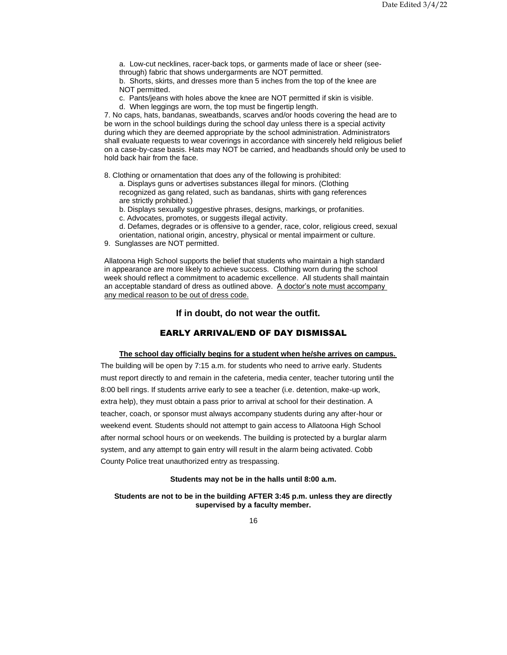a. Low-cut necklines, racer-back tops, or garments made of lace or sheer (seethrough) fabric that shows undergarments are NOT permitted.

b. Shorts, skirts, and dresses more than 5 inches from the top of the knee are NOT permitted.

c. Pants/jeans with holes above the knee are NOT permitted if skin is visible.

d. When leggings are worn, the top must be fingertip length.

7. No caps, hats, bandanas, sweatbands, scarves and/or hoods covering the head are to be worn in the school buildings during the school day unless there is a special activity during which they are deemed appropriate by the school administration. Administrators shall evaluate requests to wear coverings in accordance with sincerely held religious belief on a case-by-case basis. Hats may NOT be carried, and headbands should only be used to hold back hair from the face.

8. Clothing or ornamentation that does any of the following is prohibited:

a. Displays guns or advertises substances illegal for minors. (Clothing recognized as gang related, such as bandanas, shirts with gang references are strictly prohibited.)

b. Displays sexually suggestive phrases, designs, markings, or profanities.

c. Advocates, promotes, or suggests illegal activity.

- d. Defames, degrades or is offensive to a gender, race, color, religious creed, sexual
- orientation, national origin, ancestry, physical or mental impairment or culture.
- 9. Sunglasses are NOT permitted.

Allatoona High School supports the belief that students who maintain a high standard in appearance are more likely to achieve success. Clothing worn during the school week should reflect a commitment to academic excellence. All students shall maintain an acceptable standard of dress as outlined above. A doctor's note must accompany any medical reason to be out of dress code.

# **If in doubt, do not wear the outfit.**

# EARLY ARRIVAL/END OF DAY DISMISSAL

## **The school day officially begins for a student when he/she arrives on campus.**

<span id="page-15-1"></span><span id="page-15-0"></span>The building will be open by 7:15 a.m. for students who need to arrive early. Students must report directly to and remain in the cafeteria, media center, teacher tutoring until the 8:00 bell rings. If students arrive early to see a teacher (i.e. detention, make-up work, extra help), they must obtain a pass prior to arrival at school for their destination. A teacher, coach, or sponsor must always accompany students during any after-hour or weekend event. Students should not attempt to gain access to Allatoona High School after normal school hours or on weekends. The building is protected by a burglar alarm system, and any attempt to gain entry will result in the alarm being activated. Cobb County Police treat unauthorized entry as trespassing.

#### **Students may not be in the halls until 8:00 a.m.**

<span id="page-15-2"></span>**Students are not to be in the building AFTER 3:45 p.m. unless they are directly supervised by a faculty member.**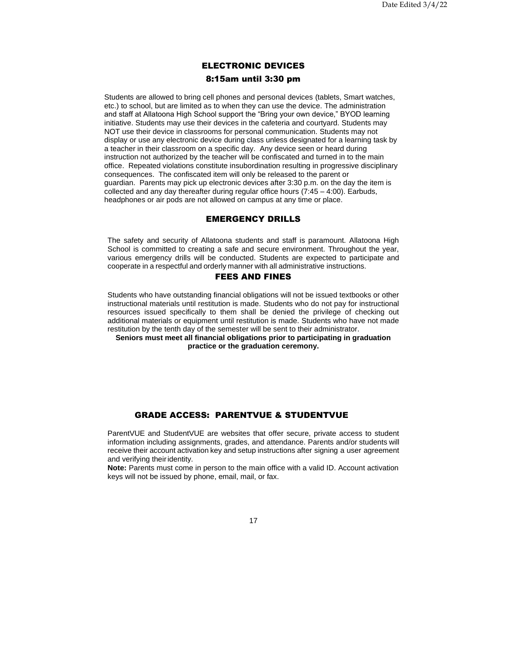# ELECTRONIC DEVICES 8:15am until 3:30 pm

Students are allowed to bring cell phones and personal devices (tablets, Smart watches, etc.) to school, but are limited as to when they can use the device. The administration and staff at Allatoona High School support the "Bring your own device," BYOD learning initiative. Students may use their devices in the cafeteria and courtyard. Students may NOT use their device in classrooms for personal communication. Students may not display or use any electronic device during class unless designated for a learning task by a teacher in their classroom on a specific day. Any device seen or heard during instruction not authorized by the teacher will be confiscated and turned in to the main office. Repeated violations constitute insubordination resulting in progressive disciplinary consequences. The confiscated item will only be released to the parent or guardian. Parents may pick up electronic devices after 3:30 p.m. on the day the item is collected and any day thereafter during regular office hours (7:45 – 4:00). Earbuds, headphones or air pods are not allowed on campus at any time or place.

# EMERGENCY DRILLS

<span id="page-16-0"></span>The safety and security of Allatoona students and staff is paramount. Allatoona High School is committed to creating a safe and secure environment. Throughout the year, various emergency drills will be conducted. Students are expected to participate and cooperate in a respectful and orderly manner with all administrative instructions.

# FEES AND FINES

<span id="page-16-1"></span>Students who have outstanding financial obligations will not be issued textbooks or other instructional materials until restitution is made. Students who do not pay for instructional resources issued specifically to them shall be denied the privilege of checking out additional materials or equipment until restitution is made. Students who have not made restitution by the tenth day of the semester will be sent to their administrator.

<span id="page-16-2"></span>**Seniors must meet all financial obligations prior to participating in graduation practice or the graduation ceremony.**

# GRADE ACCESS: PARENTVUE & STUDENTVUE

<span id="page-16-3"></span>ParentVUE and StudentVUE are websites that offer secure, private access to student information including assignments, grades, and attendance. Parents and/or students will receive their account activation key and setup instructions after signing a user agreement and verifying theiridentity.

**Note:** Parents must come in person to the main office with a valid ID. Account activation keys will not be issued by phone, email, mail, or fax.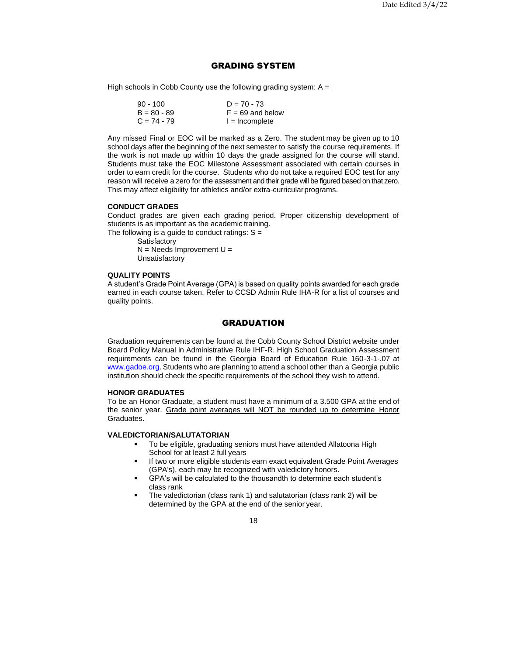# GRADING SYSTEM

<span id="page-17-0"></span>High schools in Cobb County use the following grading system:  $A =$ 

| 90 - 100      | $D = 70 - 73$      |
|---------------|--------------------|
| $B = 80 - 89$ | $F = 69$ and below |
| $C = 74 - 79$ | $l = Incomplete$   |

Any missed Final or EOC will be marked as a Zero. The student may be given up to 10 school days after the beginning of the next semester to satisfy the course requirements. If the work is not made up within 10 days the grade assigned for the course will stand. Students must take the EOC Milestone Assessment associated with certain courses in order to earn credit for the course. Students who do not take a required EOC test for any reason will receive a zero for the assessment and their grade will be figured based on that zero. This may affect eligibility for athletics and/or extra-curricularprograms.

#### <span id="page-17-1"></span>**CONDUCT GRADES**

Conduct grades are given each grading period. Proper citizenship development of students is as important as the academic training.

The following is a guide to conduct ratings:  $S =$ **Satisfactory** 

 $N =$  Needs Improvement  $U =$ **Unsatisfactory** 

#### <span id="page-17-2"></span>**QUALITY POINTS**

A student's Grade Point Average (GPA) is based on quality points awarded for each grade earned in each course taken. Refer to CCSD Admin Rule IHA-R for a list of courses and quality points.

# **GRADUATION**

<span id="page-17-3"></span>Graduation requirements can be found at the Cobb County School District website under Board Policy Manual in Administrative Rule IHF-R. High School Graduation Assessment requirements can be found in the Georgia Board of Education Rule 160-3-1-.07 at [www.gadoe.org.](http://www.gadoe.org/) Students who are planning to attend a school other than a Georgia public institution should check the specific requirements of the school they wish to attend.

# <span id="page-17-4"></span>**HONOR GRADUATES**

To be an Honor Graduate, a student must have a minimum of a 3.500 GPA at the end of the senior year. Grade point averages will NOT be rounded up to determine Honor Graduates.

#### <span id="page-17-5"></span>**VALEDICTORIAN/SALUTATORIAN**

- To be eligible, graduating seniors must have attended Allatoona High School for at least 2 full years
- If two or more eligible students earn exact equivalent Grade Point Averages (GPA's), each may be recognized with valedictory honors.
- GPA's will be calculated to the thousandth to determine each student's class rank
- The valedictorian (class rank 1) and salutatorian (class rank 2) will be determined by the GPA at the end of the senior year.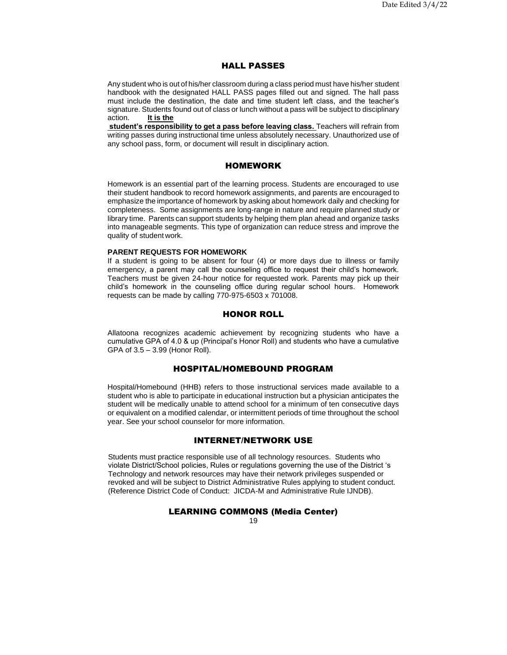# HALL PASSES

<span id="page-18-0"></span>Any student who is out of his/her classroom during a class period must have his/her student handbook with the designated HALL PASS pages filled out and signed. The hall pass must include the destination, the date and time student left class, and the teacher's signature. Students found out of class or lunch without a pass will be subject to disciplinary action. **It is the**

**student's responsibility to get a pass before leaving class.** Teachers will refrain from writing passes during instructional time unless absolutely necessary. Unauthorized use of any school pass, form, or document will result in disciplinary action.

#### HOMEWORK

<span id="page-18-1"></span>Homework is an essential part of the learning process. Students are encouraged to use their student handbook to record homework assignments, and parents are encouraged to emphasize the importance of homework by asking about homework daily and checking for completeness. Some assignments are long-range in nature and require planned study or library time. Parents can support students by helping them plan ahead and organize tasks into manageable segments. This type of organization can reduce stress and improve the quality of student work.

## <span id="page-18-2"></span>**PARENT REQUESTS FOR HOMEWORK**

If a student is going to be absent for four (4) or more days due to illness or family emergency, a parent may call the counseling office to request their child's homework. Teachers must be given 24-hour notice for requested work. Parents may pick up their child's homework in the counseling office during regular school hours. Homework requests can be made by calling 770-975-6503 x 701008.

## HONOR ROLL

<span id="page-18-3"></span>Allatoona recognizes academic achievement by recognizing students who have a cumulative GPA of 4.0 & up (Principal's Honor Roll) and students who have a cumulative GPA of 3.5 – 3.99 (Honor Roll).

# HOSPITAL/HOMEBOUND PROGRAM

<span id="page-18-4"></span>Hospital/Homebound (HHB) refers to those instructional services made available to a student who is able to participate in educational instruction but a physician anticipates the student will be medically unable to attend school for a minimum of ten consecutive days or equivalent on a modified calendar, or intermittent periods of time throughout the school year. See your school counselor for more information.

## INTERNET/NETWORK USE

<span id="page-18-5"></span>Students must practice responsible use of all technology resources. Students who violate District/School policies, Rules or regulations governing the use of the District 's Technology and network resources may have their network privileges suspended or revoked and will be subject to District Administrative Rules applying to student conduct. (Reference District Code of Conduct: JICDA-M and Administrative Rule IJNDB).

# LEARNING COMMONS (Media Center)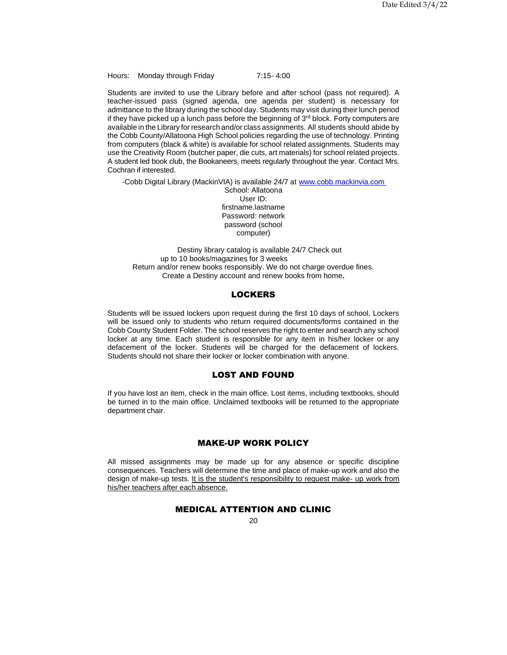Hours: Monday through Friday 7:15- 4:00

Students are invited to use the Library before and after school (pass not required). A teacher-issued pass (signed agenda, one agenda per student) is necessary for admittance to the library during the school day. Students may visit during their lunch period if they have picked up a lunch pass before the beginning of 3<sup>rd</sup> block. Forty computers are available in the Library for research and/or class assignments. All students should abide by the Cobb County/Allatoona High School policies regarding the use of technology. Printing from computers (black & white) is available for school related assignments. Students may use the Creativity Room (butcher paper, die cuts, art materials) for school related projects. A student led book club, the Bookaneers, meets regularly throughout the year. Contact Mrs. Cochran if interested.

-Cobb Digital Library (MackinVIA) is available 24/7 at [www.cobb.mackinvia.com](http://www.cobb.mackinvia.com/)

School: Allatoona User ID: firstname.lastname Password: network password (school computer)

Destiny library catalog is available 24/7 Check out up to 10 books/magazines for 3 weeks Return and/or renew books responsibly. We do not charge overdue fines. Create a Destiny account and renew books from home**.**

# **LOCKERS**

<span id="page-19-0"></span>Students will be issued lockers upon request during the first 10 days of school. Lockers will be issued only to students who return required documents/forms contained in the Cobb County Student Folder. The school reserves the right to enter and search any school locker at any time. Each student is responsible for any item in his/her locker or any defacement of the locker. Students will be charged for the defacement of lockers. Students should not share their locker or locker combination with anyone.

## LOST AND FOUND

<span id="page-19-1"></span>If you have lost an item, check in the main office. Lost items, including textbooks, should be turned in to the main office. Unclaimed textbooks will be returned to the appropriate department chair.

# MAKE-UP WORK POLICY

<span id="page-19-3"></span><span id="page-19-2"></span>All missed assignments may be made up for any absence or specific discipline consequences. Teachers will determine the time and place of make-up work and also the design of make-up tests. It is the student's responsibility to request make- up work from his/her teachers after each absence.

# MEDICAL ATTENTION AND CLINIC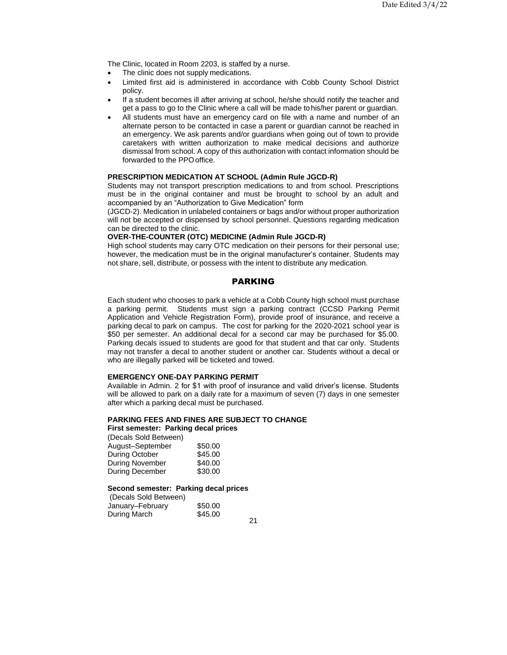The Clinic, located in Room 2203, is staffed by a nurse.

- The clinic does not supply medications.
- Limited first aid is administered in accordance with Cobb County School District policy.
- If a student becomes ill after arriving at school, he/she should notify the teacher and get a pass to go to the Clinic where a call will be made tohis/her parent or guardian.
- All students must have an emergency card on file with a name and number of an alternate person to be contacted in case a parent or guardian cannot be reached in an emergency. We ask parents and/or guardians when going out of town to provide caretakers with written authorization to make medical decisions and authorize dismissal from school. A copy of this authorization with contact information should be forwarded to the PPOoffice.

# <span id="page-20-0"></span>**PRESCRIPTION MEDICATION AT SCHOOL (Admin Rule JGCD-R)**

Students may not transport prescription medications to and from school. Prescriptions must be in the original container and must be brought to school by an adult and accompanied by an "Authorization to Give Medication" form

(JGCD-2). Medication in unlabeled containers or bags and/or without proper authorization will not be accepted or dispensed by school personnel. Questions regarding medication can be directed to the clinic.

# <span id="page-20-1"></span>**OVER-THE-COUNTER (OTC) MEDICINE (Admin Rule JGCD-R)**

High school students may carry OTC medication on their persons for their personal use; however, the medication must be in the original manufacturer's container. Students may not share, sell, distribute, or possess with the intent to distribute any medication.

# PARKING

<span id="page-20-2"></span>Each student who chooses to park a vehicle at a Cobb County high school must purchase a parking permit. Students must sign a parking contract (CCSD Parking Permit Application and Vehicle Registration Form), provide proof of insurance, and receive a parking decal to park on campus. The cost for parking for the 2020-2021 school year is \$50 per semester. An additional decal for a second car may be purchased for \$5.00. Parking decals issued to students are good for that student and that car only. Students may not transfer a decal to another student or another car. Students without a decal or who are illegally parked will be ticketed and towed.

#### <span id="page-20-3"></span>**EMERGENCY ONE-DAY PARKING PERMIT**

Available in Admin. 2 for \$1 with proof of insurance and valid driver's license. Students will be allowed to park on a daily rate for a maximum of seven (7) days in one semester after which a parking decal must be purchased.

#### <span id="page-20-4"></span>**PARKING FEES AND FINES ARE SUBJECT TO CHANGE**

# **First semester: Parking decal prices**

(Decals Sold Between)

| August–September | \$50.00 |
|------------------|---------|
| During October   | \$45.00 |
| During November  | \$40.00 |
| During December  | \$30.00 |

#### <span id="page-20-5"></span>**Second semester: Parking decal prices**

| (Decals Sold Between) |         |  |
|-----------------------|---------|--|
| January-February      | \$50.00 |  |
| During March          | \$45.00 |  |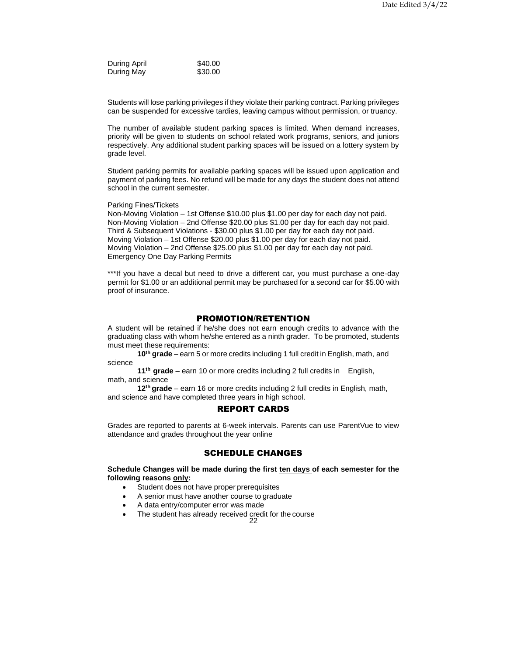During April \$40.00 During May \$30.00

Students will lose parking privileges if they violate their parking contract. Parking privileges can be suspended for excessive tardies, leaving campus without permission, or truancy.

The number of available student parking spaces is limited. When demand increases, priority will be given to students on school related work programs, seniors, and juniors respectively. Any additional student parking spaces will be issued on a lottery system by grade level.

Student parking permits for available parking spaces will be issued upon application and payment of parking fees. No refund will be made for any days the student does not attend school in the current semester.

Parking Fines/Tickets

Non-Moving Violation – 1st Offense \$10.00 plus \$1.00 per day for each day not paid. Non-Moving Violation – 2nd Offense \$20.00 plus \$1.00 per day for each day not paid. Third & Subsequent Violations - \$30.00 plus \$1.00 per day for each day not paid. Moving Violation – 1st Offense \$20.00 plus \$1.00 per day for each day not paid. Moving Violation – 2nd Offense \$25.00 plus \$1.00 per day for each day not paid. Emergency One Day Parking Permits

\*\*\*If you have a decal but need to drive a different car, you must purchase a one-day permit for \$1.00 or an additional permit may be purchased for a second car for \$5.00 with proof of insurance.

## PROMOTION/RETENTION

<span id="page-21-0"></span>A student will be retained if he/she does not earn enough credits to advance with the graduating class with whom he/she entered as a ninth grader. To be promoted, students must meet these requirements:

**10th grade** – earn 5 or more credits including 1 full credit in English, math, and science

**11th grade** – earn 10 or more credits including 2 full credits in English, math, and science

<span id="page-21-1"></span>**12th grade** – earn 16 or more credits including 2 full credits in English, math, and science and have completed three years in high school.

## REPORT CARDS

Grades are reported to parents at 6-week intervals. Parents can use ParentVue to view attendance and grades throughout the year online

## SCHEDULE CHANGES

<span id="page-21-3"></span><span id="page-21-2"></span>**Schedule Changes will be made during the first ten days of each semester for the following reasons only:**

- Student does not have proper prerequisites
- A senior must have another course to graduate
- A data entry/computer error was made
- The student has already received credit for the course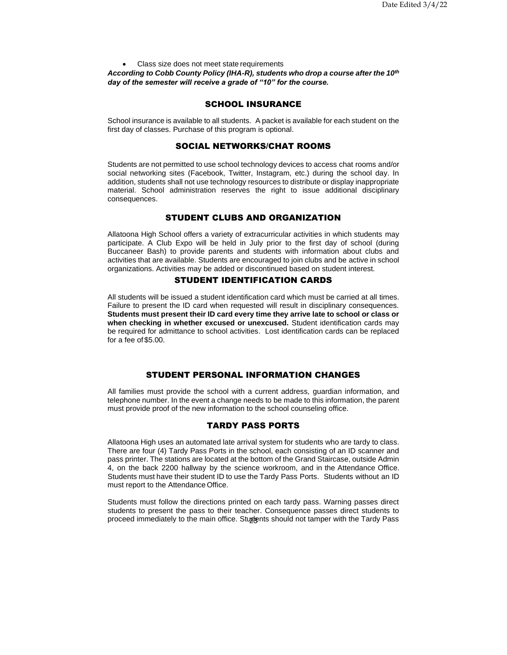• Class size does not meet state requirements *According to Cobb County Policy (IHA-R), students who drop a course after the 10th day of the semester will receive a grade of "10" for the course.*

# SCHOOL INSURANCE

<span id="page-22-1"></span><span id="page-22-0"></span>School insurance is available to all students. A packet is available for each student on the first day of classes. Purchase of this program is optional.

## SOCIAL NETWORKS/CHAT ROOMS

Students are not permitted to use school technology devices to access chat rooms and/or social networking sites (Facebook, Twitter, Instagram, etc.) during the school day. In addition, students shall not use technology resources to distribute or display inappropriate material. School administration reserves the right to issue additional disciplinary consequences.

# STUDENT CLUBS AND ORGANIZATION

<span id="page-22-2"></span>Allatoona High School offers a variety of extracurricular activities in which students may participate. A Club Expo will be held in July prior to the first day of school (during Buccaneer Bash) to provide parents and students with information about clubs and activities that are available. Students are encouraged to join clubs and be active in school organizations. Activities may be added or discontinued based on student interest.

# STUDENT IDENTIFICATION CARDS

<span id="page-22-3"></span>All students will be issued a student identification card which must be carried at all times. Failure to present the ID card when requested will result in disciplinary consequences. **Students must present their ID card every time they arrive late to school or class or when checking in whether excused or unexcused.** Student identification cards may be required for admittance to school activities. Lost identification cards can be replaced for a fee of\$5.00.

# STUDENT PERSONAL INFORMATION CHANGES

<span id="page-22-5"></span><span id="page-22-4"></span>All families must provide the school with a current address, guardian information, and telephone number. In the event a change needs to be made to this information, the parent must provide proof of the new information to the school counseling office.

#### TARDY PASS PORTS

Allatoona High uses an automated late arrival system for students who are tardy to class. There are four (4) Tardy Pass Ports in the school, each consisting of an ID scanner and pass printer. The stations are located at the bottom of the Grand Staircase, outside Admin 4, on the back 2200 hallway by the science workroom, and in the Attendance Office. Students must have their student ID to use the Tardy Pass Ports. Students without an ID must report to the Attendance Office.

proceed immediately to the main office. Stuggents should not tamper with the Tardy Pass Students must follow the directions printed on each tardy pass. Warning passes direct students to present the pass to their teacher. Consequence passes direct students to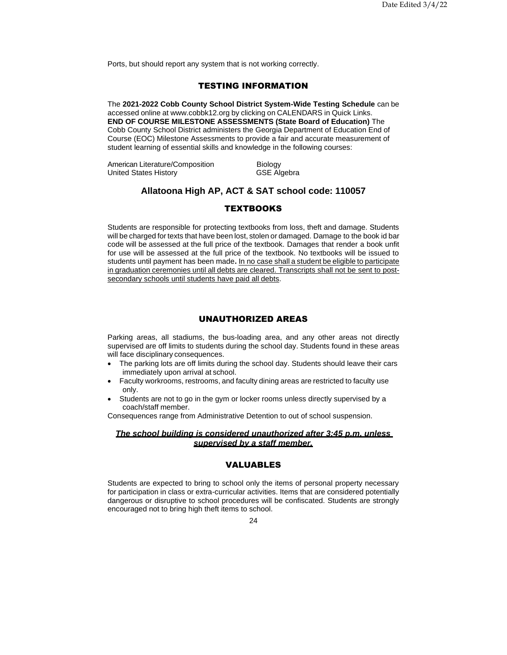Ports, but should report any system that is not working correctly.

# TESTING INFORMATION

<span id="page-23-0"></span>The **2021-2022 Cobb County School District System-Wide Testing Schedule** can be accessed online at [www.cobbk12.org](http://www.cobbk12.org/) by clicking on CALENDARS in Quick Links. **END OF COURSE MILESTONE ASSESSMENTS (State Board of Education)** The Cobb County School District administers the Georgia Department of Education End of Course (EOC) Milestone Assessments to provide a fair and accurate measurement of student learning of essential skills and knowledge in the following courses:

American Literature/Composition Biology United States History **GSE** Algebra

# **Allatoona High AP, ACT & SAT school code: 110057**

# **TEXTBOOKS**

<span id="page-23-1"></span>Students are responsible for protecting textbooks from loss, theft and damage. Students will be charged for texts that have been lost, stolen or damaged. Damage to the book id bar code will be assessed at the full price of the textbook. Damages that render a book unfit for use will be assessed at the full price of the textbook. No textbooks will be issued to students until payment has been made**.** In no case shall a student be eligible to participate in graduation ceremonies until all debts are cleared. Transcripts shall not be sent to postsecondary schools until students have paid all debts.

# UNAUTHORIZED AREAS

<span id="page-23-2"></span>Parking areas, all stadiums, the bus-loading area, and any other areas not directly supervised are off limits to students during the school day. Students found in these areas will face disciplinary consequences.

- The parking lots are off limits during the school day. Students should leave their cars immediately upon arrival at school.
- Faculty workrooms, restrooms, and faculty dining areas are restricted to faculty use only.
- Students are not to go in the gym or locker rooms unless directly supervised by a coach/staff member.

Consequences range from Administrative Detention to out of school suspension.

#### *The school building is considered unauthorized after 3:45 p.m. unless supervised by a staff member.*

# VALUABLES

Students are expected to bring to school only the items of personal property necessary for participation in class or extra-curricular activities. Items that are considered potentially dangerous or disruptive to school procedures will be confiscated. Students are strongly encouraged not to bring high theft items to school.